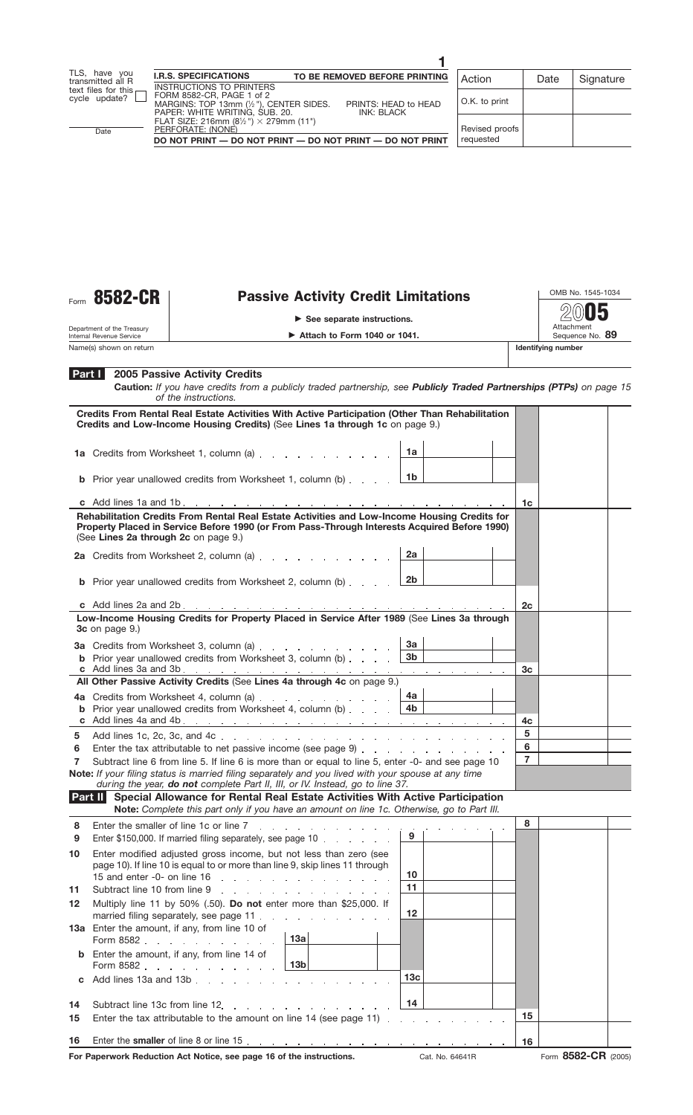

Department of the Treasury Internal Revenue Service

**Name(s) shown on return** 

## Form 8582-CR | Passive Activity Credit Limitations

**See separate instructions.**



OMB No. 1545-1034 **2005**

Attachment<br>Sequence No. 89

| Part I<br><b>2005 Passive Activity Credits</b><br>Caution: If you have credits from a publicly traded partnership, see Publicly Traded Partnerships (PTPs) on page 15<br>of the instructions.                                        |                |  |
|--------------------------------------------------------------------------------------------------------------------------------------------------------------------------------------------------------------------------------------|----------------|--|
| Credits From Rental Real Estate Activities With Active Participation (Other Than Rehabilitation<br>Credits and Low-Income Housing Credits) (See Lines 1a through 1c on page 9.)                                                      |                |  |
| ∣ 1a<br>1a Credits from Worksheet 1, column (a)                                                                                                                                                                                      |                |  |
| <b>b</b> Prior year unallowed credits from Worksheet 1, column (b) $\ldots$ $\frac{16}{16}$                                                                                                                                          |                |  |
|                                                                                                                                                                                                                                      | 1c             |  |
| Rehabilitation Credits From Rental Real Estate Activities and Low-Income Housing Credits for<br>Property Placed in Service Before 1990 (or From Pass-Through Interests Acquired Before 1990)<br>(See Lines 2a through 2c on page 9.) |                |  |
| 2a<br>2a Credits from Worksheet 2, column (a)                                                                                                                                                                                        |                |  |
| <b>b</b> Prior year unallowed credits from Worksheet 2, column (b) $\ldots$ $\boxed{2b}$                                                                                                                                             |                |  |
|                                                                                                                                                                                                                                      | 2c             |  |
| Low-Income Housing Credits for Property Placed in Service After 1989 (See Lines 3a through<br>$3c$ on page $9.$ )                                                                                                                    |                |  |
| 3a<br>3a Credits from Worksheet 3, column (a)                                                                                                                                                                                        |                |  |
| 3 <sub>b</sub><br><b>b</b> Prior year unallowed credits from Worksheet 3, column (b)                                                                                                                                                 |                |  |
| All Other Passive Activity Credits (See Lines 4a through 4c on page 9.)                                                                                                                                                              | 3 <sub>c</sub> |  |
| 4a                                                                                                                                                                                                                                   |                |  |
| 4a Credits from Worksheet 4, column (a)<br><b>b</b> Prior year unallowed credits from Worksheet 4, column (b) $\ldots$ $\qquad$ 4b                                                                                                   |                |  |
|                                                                                                                                                                                                                                      | 4c             |  |
| 5                                                                                                                                                                                                                                    | 5              |  |
| 6                                                                                                                                                                                                                                    | 6              |  |
| Subtract line 6 from line 5. If line 6 is more than or equal to line 5, enter -0- and see page 10<br>7                                                                                                                               | $\overline{7}$ |  |
| Note: If your filing status is married filing separately and you lived with your spouse at any time<br>during the year, do not complete Part II, III, or IV. Instead, go to line 37.                                                 |                |  |
| Part II Special Allowance for Rental Real Estate Activities With Active Participation                                                                                                                                                |                |  |

**Note:** *Complete this part only if you have an amount on line 1c. Otherwise, go to Part IIl.*

| 8  |                                                                                                                                                  |                               | 8  |                     |  |
|----|--------------------------------------------------------------------------------------------------------------------------------------------------|-------------------------------|----|---------------------|--|
| 9  | Enter \$150,000. If married filing separately, see page 10                                                                                       | $\frac{1}{2}$ 9 $\frac{1}{2}$ |    |                     |  |
| 10 | Enter modified adjusted gross income, but not less than zero (see<br>page 10). If line 10 is equal to or more than line 9, skip lines 11 through | 10                            |    |                     |  |
| 11 | Subtract line 10 from line 9                                                                                                                     | 11                            |    |                     |  |
| 12 | Multiply line 11 by 50% (.50). Do not enter more than \$25,000. If<br>married filing separately, see page 11.                                    | $12 \,$                       |    |                     |  |
|    | 13a Enter the amount, if any, from line 10 of<br>Form 8582 13a                                                                                   |                               |    |                     |  |
|    | <b>b</b> Enter the amount, if any, from line 14 of<br>Form 8582 13b                                                                              |                               |    |                     |  |
|    | <b>c</b> Add lines 13a and 13b $\ldots$ $\ldots$ $\ldots$ $\ldots$ $\ldots$ $\ldots$                                                             | 13 <sub>c</sub>               |    |                     |  |
| 14 | Subtract line 13c from line 12.                                                                                                                  | 14                            |    |                     |  |
| 15 |                                                                                                                                                  |                               | 15 |                     |  |
| 16 |                                                                                                                                                  |                               | 16 |                     |  |
|    | For Paperwork Reduction Act Notice, see page 16 of the instructions.                                                                             | Cat. No. 64641R               |    | Form 8582-CR (2005) |  |